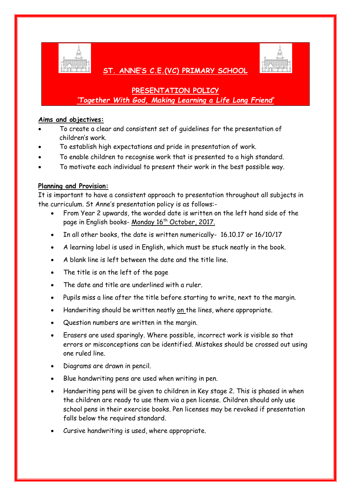

## **ST. ANNE'S C.E.(VC) PRIMARY SCHOOL**

# **PRESENTATION POLICY** *'Together With God, Making Learning a Life Long Friend'*

#### **Aims and objectives:**

- To create a clear and consistent set of guidelines for the presentation of children's work.
- To establish high expectations and pride in presentation of work.
- To enable children to recognise work that is presented to a high standard.
- To motivate each individual to present their work in the best possible way.

### **Planning and Provision:**

It is important to have a consistent approach to presentation throughout all subjects in the curriculum. St Anne's presentation policy is as follows:-

- From Year 2 upwards, the worded date is written on the left hand side of the page in English books- Monday 16<sup>th</sup> October, 2017.
- In all other books, the date is written numerically- 16.10.17 or 16/10/17
- A learning label is used in English, which must be stuck neatly in the book.
- A blank line is left between the date and the title line.
- The title is on the left of the page
- The date and title are underlined with a ruler.
- Pupils miss a line after the title before starting to write, next to the margin.
- Handwriting should be written neatly on the lines, where appropriate.
- Question numbers are written in the margin.
- Erasers are used sparingly. Where possible, incorrect work is visible so that errors or misconceptions can be identified. Mistakes should be crossed out using one ruled line.
- Diagrams are drawn in pencil.
- Blue handwriting pens are used when writing in pen.
- Handwriting pens will be given to children in Key stage 2. This is phased in when the children are ready to use them via a pen license. Children should only use school pens in their exercise books. Pen licenses may be revoked if presentation falls below the required standard.
- Cursive handwriting is used, where appropriate.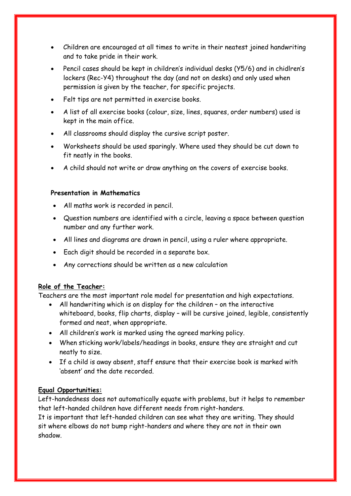- Children are encouraged at all times to write in their neatest joined handwriting and to take pride in their work.
- Pencil cases should be kept in children's individual desks (Y5/6) and in chidlren's lockers (Rec-Y4) throughout the day (and not on desks) and only used when permission is given by the teacher, for specific projects.
- Felt tips are not permitted in exercise books.
- A list of all exercise books (colour, size, lines, squares, order numbers) used is kept in the main office.
- All classrooms should display the cursive script poster.
- Worksheets should be used sparingly. Where used they should be cut down to fit neatly in the books.
- A child should not write or draw anything on the covers of exercise books.

#### **Presentation in Mathematics**

- All maths work is recorded in pencil.
- Question numbers are identified with a circle, leaving a space between question number and any further work.
- All lines and diagrams are drawn in pencil, using a ruler where appropriate.
- Each digit should be recorded in a separate box.
- Any corrections should be written as a new calculation

#### **Role of the Teacher:**

Teachers are the most important role model for presentation and high expectations.

- All handwriting which is on display for the children on the interactive whiteboard, books, flip charts, display – will be cursive joined, legible, consistently formed and neat, when appropriate.
- All children's work is marked using the agreed marking policy.
- When sticking work/labels/headings in books, ensure they are straight and cut neatly to size.
- If a child is away absent, staff ensure that their exercise book is marked with 'absent' and the date recorded.

#### **Equal Opportunities:**

Left-handedness does not automatically equate with problems, but it helps to remember that left-handed children have different needs from right-handers.

It is important that left-handed children can see what they are writing. They should sit where elbows do not bump right-handers and where they are not in their own shadow.